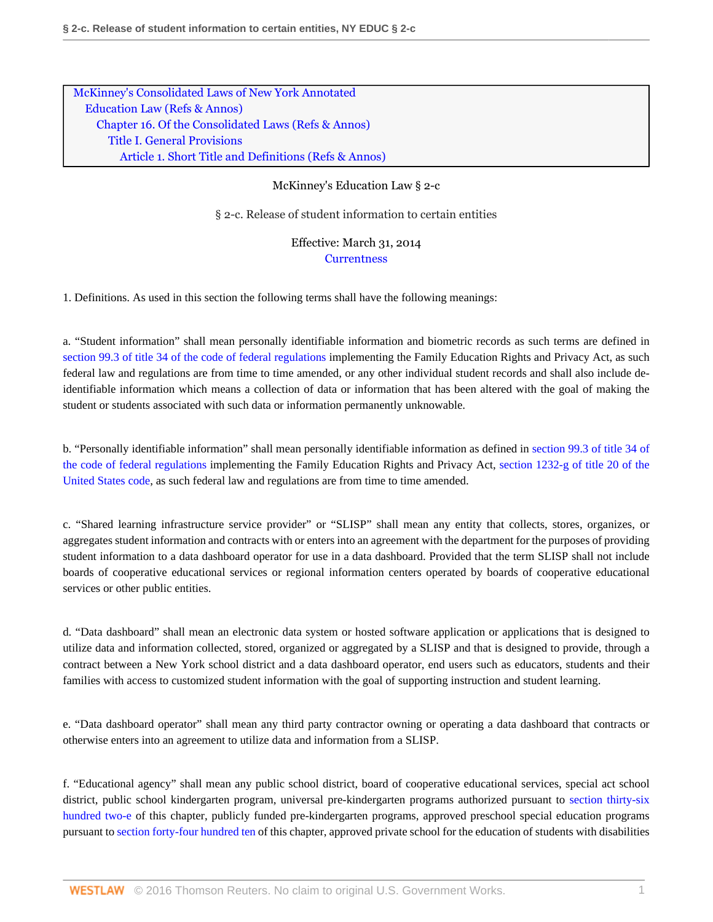[McKinney's Consolidated Laws of New York Annotated](http://www.westlaw.com/Browse/Home/StatutesCourtRules/NewYorkStatutesCourtRules?transitionType=DocumentItem&contextData=(sc.UserEnteredCitation)&rs=clbt1.0&vr=3.0) [Education Law](http://www.westlaw.com/Browse/Home/StatutesCourtRules/NewYorkStatutesCourtRules?guid=NAB7DCDA196F841BEB0299FE4BBD7E92E&transitionType=DocumentItem&contextData=(sc.UserEnteredCitation)&rs=clbt1.0&vr=3.0) [\(Refs & Annos\)](http://www.westlaw.com/Link/Document/FullText?findType=l&cite=lk(NYEDR)&originatingDoc=N3564F170C06311E3BD5AFDAE8B2C67B3&refType=CM&sourceCite=McKinney%27s+Education+Law+%c2%a7+2-c&originationContext=document&vr=3.0&rs=cblt1.0&transitionType=DocumentItem&pubNum=1000069&contextData=(sc.UserEnteredCitation)) [Chapter 16. Of the Consolidated Laws](http://www.westlaw.com/Browse/Home/StatutesCourtRules/NewYorkStatutesCourtRules?guid=NB1E9971E44EA4701981F773D49446CE8&transitionType=DocumentItem&contextData=(sc.UserEnteredCitation)&rs=clbt1.0&vr=3.0) [\(Refs & Annos\)](http://www.westlaw.com/Link/Document/FullText?findType=l&cite=lk(NYEDC16M)&originatingDoc=N3564F170C06311E3BD5AFDAE8B2C67B3&refType=CM&sourceCite=McKinney%27s+Education+Law+%c2%a7+2-c&originationContext=document&vr=3.0&rs=cblt1.0&transitionType=DocumentItem&pubNum=1000069&contextData=(sc.UserEnteredCitation)) [Title I. General Provisions](http://www.westlaw.com/Browse/Home/StatutesCourtRules/NewYorkStatutesCourtRules?guid=N0594795057F541339EED23F48E390688&transitionType=DocumentItem&contextData=(sc.UserEnteredCitation)&rs=clbt1.0&vr=3.0) [Article 1. Short Title and Definitions](http://www.westlaw.com/Browse/Home/StatutesCourtRules/NewYorkStatutesCourtRules?guid=N08F20E9E001F497BA0BF1F5432C3FC22&transitionType=DocumentItem&contextData=(sc.UserEnteredCitation)&rs=clbt1.0&vr=3.0) [\(Refs & Annos\)](http://www.westlaw.com/Link/Document/FullText?findType=l&cite=lk(NYEDC16TIART1R)&originatingDoc=N3564F170C06311E3BD5AFDAE8B2C67B3&refType=CM&sourceCite=McKinney%27s+Education+Law+%c2%a7+2-c&originationContext=document&vr=3.0&rs=cblt1.0&transitionType=DocumentItem&pubNum=1000069&contextData=(sc.UserEnteredCitation))

## McKinney's Education Law § 2-c

§ 2-c. Release of student information to certain entities

Effective: March 31, 2014 **[Currentness](#page-1-0)** 

1. Definitions. As used in this section the following terms shall have the following meanings:

a. "Student information" shall mean personally identifiable information and biometric records as such terms are defined in [section 99.3 of title 34 of the code of federal regulations](http://www.westlaw.com/Link/Document/FullText?findType=L&pubNum=1000547&cite=34CFRS99.3&originatingDoc=N3564F170C06311E3BD5AFDAE8B2C67B3&refType=LQ&originationContext=document&vr=3.0&rs=cblt1.0&transitionType=DocumentItem&contextData=(sc.UserEnteredCitation)) implementing the Family Education Rights and Privacy Act, as such federal law and regulations are from time to time amended, or any other individual student records and shall also include deidentifiable information which means a collection of data or information that has been altered with the goal of making the student or students associated with such data or information permanently unknowable.

b. "Personally identifiable information" shall mean personally identifiable information as defined in [section 99.3 of title 34 of](http://www.westlaw.com/Link/Document/FullText?findType=L&pubNum=1000547&cite=34CFRS99.3&originatingDoc=N3564F170C06311E3BD5AFDAE8B2C67B3&refType=LQ&originationContext=document&vr=3.0&rs=cblt1.0&transitionType=DocumentItem&contextData=(sc.UserEnteredCitation)) [the code of federal regulations](http://www.westlaw.com/Link/Document/FullText?findType=L&pubNum=1000547&cite=34CFRS99.3&originatingDoc=N3564F170C06311E3BD5AFDAE8B2C67B3&refType=LQ&originationContext=document&vr=3.0&rs=cblt1.0&transitionType=DocumentItem&contextData=(sc.UserEnteredCitation)) implementing the Family Education Rights and Privacy Act, [section 1232-g of title 20 of the](http://www.westlaw.com/Link/Document/FullText?findType=L&pubNum=1000546&cite=20USCAS1232&originatingDoc=N3564F170C06311E3BD5AFDAE8B2C67B3&refType=LQ&originationContext=document&vr=3.0&rs=cblt1.0&transitionType=DocumentItem&contextData=(sc.UserEnteredCitation)) [United States code,](http://www.westlaw.com/Link/Document/FullText?findType=L&pubNum=1000546&cite=20USCAS1232&originatingDoc=N3564F170C06311E3BD5AFDAE8B2C67B3&refType=LQ&originationContext=document&vr=3.0&rs=cblt1.0&transitionType=DocumentItem&contextData=(sc.UserEnteredCitation)) as such federal law and regulations are from time to time amended.

c. "Shared learning infrastructure service provider" or "SLISP" shall mean any entity that collects, stores, organizes, or aggregates student information and contracts with or enters into an agreement with the department for the purposes of providing student information to a data dashboard operator for use in a data dashboard. Provided that the term SLISP shall not include boards of cooperative educational services or regional information centers operated by boards of cooperative educational services or other public entities.

d. "Data dashboard" shall mean an electronic data system or hosted software application or applications that is designed to utilize data and information collected, stored, organized or aggregated by a SLISP and that is designed to provide, through a contract between a New York school district and a data dashboard operator, end users such as educators, students and their families with access to customized student information with the goal of supporting instruction and student learning.

e. "Data dashboard operator" shall mean any third party contractor owning or operating a data dashboard that contracts or otherwise enters into an agreement to utilize data and information from a SLISP.

f. "Educational agency" shall mean any public school district, board of cooperative educational services, special act school district, public school kindergarten program, universal pre-kindergarten programs authorized pursuant to [section thirty-six](http://www.westlaw.com/Link/Document/FullText?findType=L&pubNum=1000069&cite=NYEDS3602-E&originatingDoc=N3564F170C06311E3BD5AFDAE8B2C67B3&refType=LQ&originationContext=document&vr=3.0&rs=cblt1.0&transitionType=DocumentItem&contextData=(sc.UserEnteredCitation)) [hundred two-e](http://www.westlaw.com/Link/Document/FullText?findType=L&pubNum=1000069&cite=NYEDS3602-E&originatingDoc=N3564F170C06311E3BD5AFDAE8B2C67B3&refType=LQ&originationContext=document&vr=3.0&rs=cblt1.0&transitionType=DocumentItem&contextData=(sc.UserEnteredCitation)) of this chapter, publicly funded pre-kindergarten programs, approved preschool special education programs pursuant to [section forty-four hundred ten](http://www.westlaw.com/Link/Document/FullText?findType=L&pubNum=1000069&cite=NYEDS4410&originatingDoc=N3564F170C06311E3BD5AFDAE8B2C67B3&refType=LQ&originationContext=document&vr=3.0&rs=cblt1.0&transitionType=DocumentItem&contextData=(sc.UserEnteredCitation)) of this chapter, approved private school for the education of students with disabilities